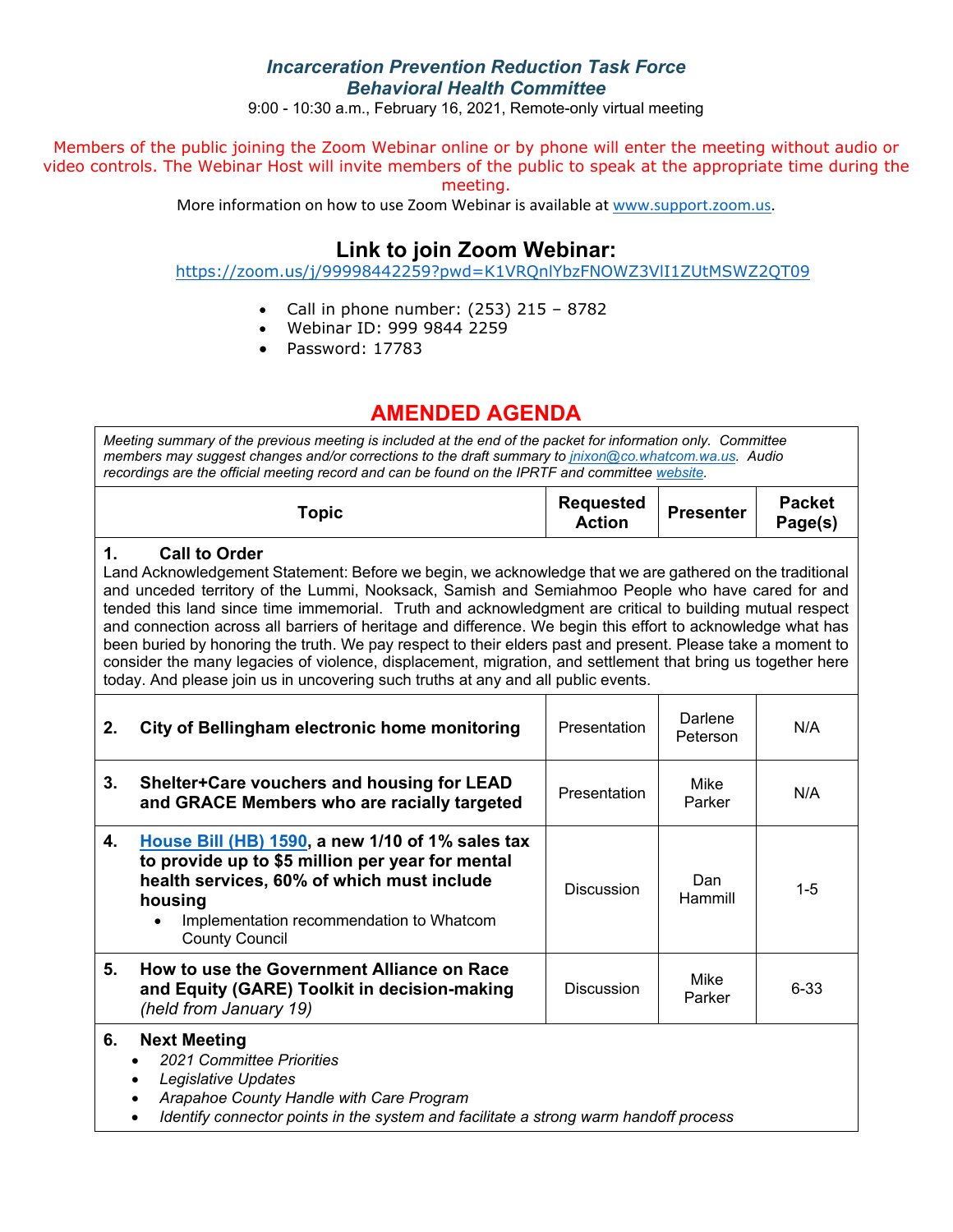## *Incarceration Prevention Reduction Task Force Behavioral Health Committee*

9:00 - 10:30 a.m., February 16, 2021, Remote-only virtual meeting

Members of the public joining the Zoom Webinar online or by phone will enter the meeting without audio or video controls. The Webinar Host will invite members of the public to speak at the appropriate time during the meeting.

More information on how to use Zoom Webinar is available at www.support.zoom.us.

# **Link to join Zoom Webinar:**

https://zoom.us/j/99998442259?pwd=K1VRQnlYbzFNOWZ3VlI1ZUtMSWZ2QT09

- Call in phone number:  $(253)$  215 8782
- Webinar ID: 999 9844 2259
- Password: 17783

## **AMENDED AGENDA**

*Meeting summary of the previous meeting is included at the end of the packet for information only. Committee members may suggest changes and/or corrections to the draft summary to jnixon@co.whatcom.wa.us. Audio recordings are the official meeting record and can be found on the IPRTF and committee website.*

### **1. Call to Order**

Land Acknowledgement Statement: Before we begin, we acknowledge that we are gathered on the traditional and unceded territory of the Lummi, Nooksack, Samish and Semiahmoo People who have cared for and tended this land since time immemorial. Truth and acknowledgment are critical to building mutual respect and connection across all barriers of heritage and difference. We begin this effort to acknowledge what has been buried by honoring the truth. We pay respect to their elders past and present. Please take a moment to consider the many legacies of violence, displacement, migration, and settlement that bring us together here today. And please join us in uncovering such truths at any and all public events.

| 2. | City of Bellingham electronic home monitoring                                                                                                                                                                                                   | Presentation      | Darlene<br>Peterson | N/A     |
|----|-------------------------------------------------------------------------------------------------------------------------------------------------------------------------------------------------------------------------------------------------|-------------------|---------------------|---------|
| 3. | Shelter+Care vouchers and housing for LEAD<br>and GRACE Members who are racially targeted                                                                                                                                                       | Presentation      | Mike<br>Parker      | N/A     |
| 4. | House Bill (HB) 1590, a new 1/10 of 1% sales tax<br>to provide up to \$5 million per year for mental<br>health services, 60% of which must include<br>housing<br>Implementation recommendation to Whatcom<br>$\bullet$<br><b>County Council</b> | Discussion        | Dan<br>Hammill      | $1 - 5$ |
| 5. | How to use the Government Alliance on Race<br>and Equity (GARE) Toolkit in decision-making<br>(held from January 19)                                                                                                                            | <b>Discussion</b> | Mike<br>Parker      | 6-33    |

#### **6. Next Meeting**

- *2021 Committee Priorities*
- *Legislative Updates*
- *Arapahoe County Handle with Care Program*
- *Identify connector points in the system and facilitate a strong warm handoff process*